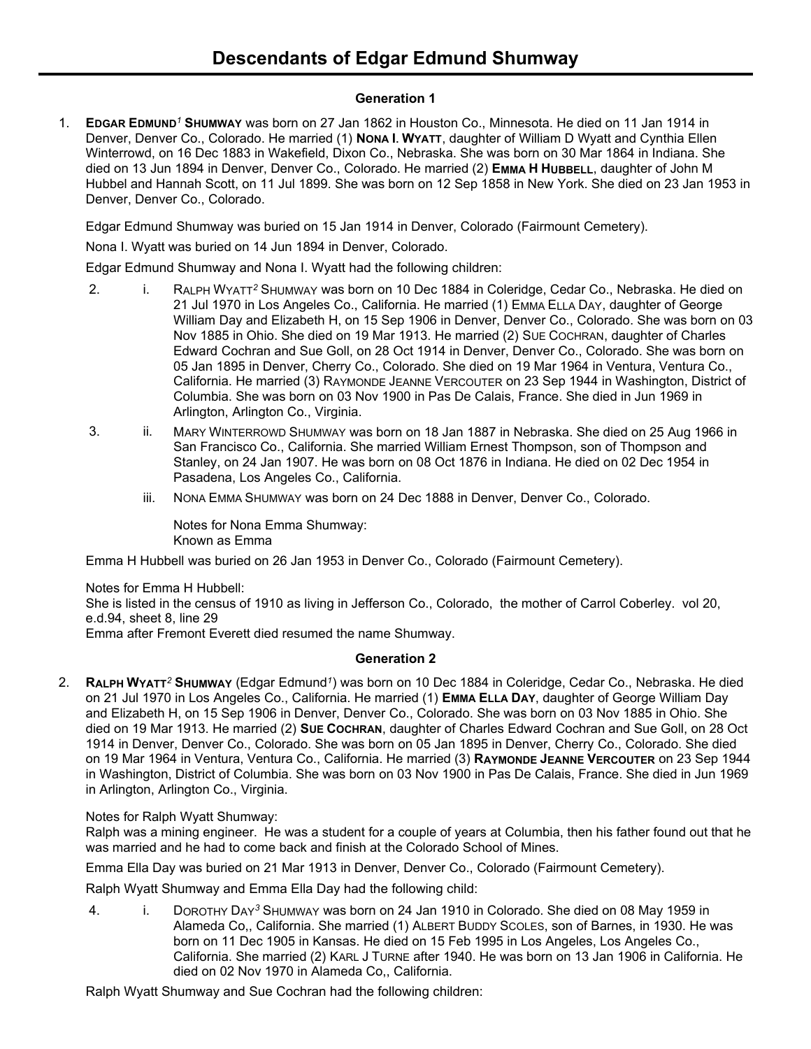## **Generation 1**

1. **EDGAR EDMUND***<sup>1</sup>* **SHUMWAY** was born on 27 Jan 1862 in Houston Co., Minnesota. He died on 11 Jan 1914 in Denver, Denver Co., Colorado. He married (1) **NONA I. WYATT**, daughter of William D Wyatt and Cynthia Ellen Winterrowd, on 16 Dec 1883 in Wakefield, Dixon Co., Nebraska. She was born on 30 Mar 1864 in Indiana. She died on 13 Jun 1894 in Denver, Denver Co., Colorado. He married (2) **EMMA H HUBBELL**, daughter of John M Hubbel and Hannah Scott, on 11 Jul 1899. She was born on 12 Sep 1858 in New York. She died on 23 Jan 1953 in Denver, Denver Co., Colorado.

Edgar Edmund Shumway was buried on 15 Jan 1914 in Denver, Colorado (Fairmount Cemetery).

Nona I. Wyatt was buried on 14 Jun 1894 in Denver, Colorado.

Edgar Edmund Shumway and Nona I. Wyatt had the following children:

- 2. i. RALPH WYATT*<sup>2</sup>* SHUMWAY was born on 10 Dec 1884 in Coleridge, Cedar Co., Nebraska. He died on 21 Jul 1970 in Los Angeles Co., California. He married (1) EMMA ELLA DAY, daughter of George William Day and Elizabeth H, on 15 Sep 1906 in Denver, Denver Co., Colorado. She was born on 03 Nov 1885 in Ohio. She died on 19 Mar 1913. He married (2) SUE COCHRAN, daughter of Charles Edward Cochran and Sue Goll, on 28 Oct 1914 in Denver, Denver Co., Colorado. She was born on 05 Jan 1895 in Denver, Cherry Co., Colorado. She died on 19 Mar 1964 in Ventura, Ventura Co., California. He married (3) RAYMONDE JEANNE VERCOUTER on 23 Sep 1944 in Washington, District of Columbia. She was born on 03 Nov 1900 in Pas De Calais, France. She died in Jun 1969 in Arlington, Arlington Co., Virginia.
- 3. ii. MARY WINTERROWD SHUMWAY was born on 18 Jan 1887 in Nebraska. She died on 25 Aug 1966 in San Francisco Co., California. She married William Ernest Thompson, son of Thompson and Stanley, on 24 Jan 1907. He was born on 08 Oct 1876 in Indiana. He died on 02 Dec 1954 in Pasadena, Los Angeles Co., California.
	- iii. NONA EMMA SHUMWAY was born on 24 Dec 1888 in Denver, Denver Co., Colorado.

Notes for Nona Emma Shumway: Known as Emma

Emma H Hubbell was buried on 26 Jan 1953 in Denver Co., Colorado (Fairmount Cemetery).

Notes for Emma H Hubbell:

She is listed in the census of 1910 as living in Jefferson Co., Colorado, the mother of Carrol Coberley. vol 20, e.d.94, sheet 8, line 29

Emma after Fremont Everett died resumed the name Shumway.

# **Generation 2**

2. **RALPH WYATT***<sup>2</sup>* **SHUMWAY** (Edgar Edmund*<sup>1</sup>* ) was born on 10 Dec 1884 in Coleridge, Cedar Co., Nebraska. He died on 21 Jul 1970 in Los Angeles Co., California. He married (1) **EMMA ELLA DAY**, daughter of George William Day and Elizabeth H, on 15 Sep 1906 in Denver, Denver Co., Colorado. She was born on 03 Nov 1885 in Ohio. She died on 19 Mar 1913. He married (2) **SUE COCHRAN**, daughter of Charles Edward Cochran and Sue Goll, on 28 Oct 1914 in Denver, Denver Co., Colorado. She was born on 05 Jan 1895 in Denver, Cherry Co., Colorado. She died on 19 Mar 1964 in Ventura, Ventura Co., California. He married (3) **RAYMONDE JEANNE VERCOUTER** on 23 Sep 1944 in Washington, District of Columbia. She was born on 03 Nov 1900 in Pas De Calais, France. She died in Jun 1969 in Arlington, Arlington Co., Virginia.

# Notes for Ralph Wyatt Shumway:

Ralph was a mining engineer. He was a student for a couple of years at Columbia, then his father found out that he was married and he had to come back and finish at the Colorado School of Mines.

Emma Ella Day was buried on 21 Mar 1913 in Denver, Denver Co., Colorado (Fairmount Cemetery).

Ralph Wyatt Shumway and Emma Ella Day had the following child:

4. i. DOROTHY DAY*<sup>3</sup>* SHUMWAY was born on 24 Jan 1910 in Colorado. She died on 08 May 1959 in Alameda Co,, California. She married (1) ALBERT BUDDY SCOLES, son of Barnes, in 1930. He was born on 11 Dec 1905 in Kansas. He died on 15 Feb 1995 in Los Angeles, Los Angeles Co., California. She married (2) KARL J TURNE after 1940. He was born on 13 Jan 1906 in California. He died on 02 Nov 1970 in Alameda Co,, California.

Ralph Wyatt Shumway and Sue Cochran had the following children: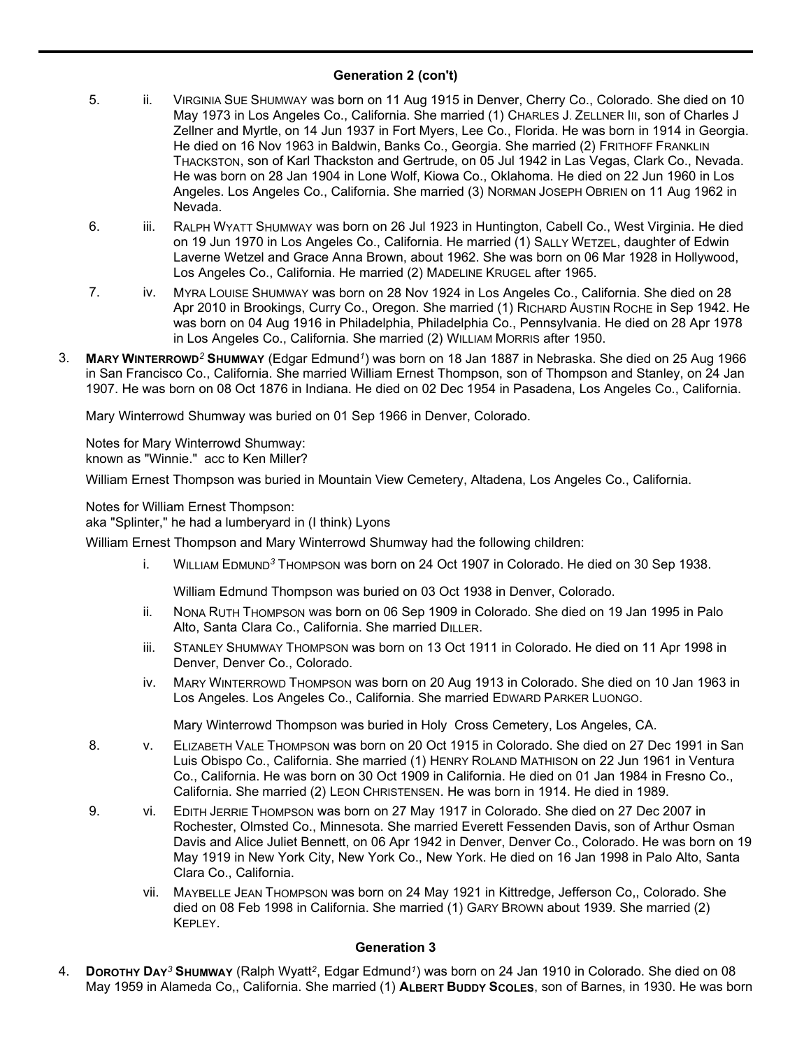### **Generation 2 (con't)**

- 5. ii. VIRGINIA SUE SHUMWAY was born on 11 Aug 1915 in Denver, Cherry Co., Colorado. She died on 10 May 1973 in Los Angeles Co., California. She married (1) CHARLES J. ZELLNER III, son of Charles J Zellner and Myrtle, on 14 Jun 1937 in Fort Myers, Lee Co., Florida. He was born in 1914 in Georgia. He died on 16 Nov 1963 in Baldwin, Banks Co., Georgia. She married (2) FRITHOFF FRANKLIN THACKSTON, son of Karl Thackston and Gertrude, on 05 Jul 1942 in Las Vegas, Clark Co., Nevada. He was born on 28 Jan 1904 in Lone Wolf, Kiowa Co., Oklahoma. He died on 22 Jun 1960 in Los Angeles. Los Angeles Co., California. She married (3) NORMAN JOSEPH OBRIEN on 11 Aug 1962 in Nevada.
- 6. iii. RALPH WYATT SHUMWAY was born on 26 Jul 1923 in Huntington, Cabell Co., West Virginia. He died on 19 Jun 1970 in Los Angeles Co., California. He married (1) SALLY WETZEL, daughter of Edwin Laverne Wetzel and Grace Anna Brown, about 1962. She was born on 06 Mar 1928 in Hollywood, Los Angeles Co., California. He married (2) MADELINE KRUGEL after 1965.
- 7. iv. MYRA LOUISE SHUMWAY was born on 28 Nov 1924 in Los Angeles Co., California. She died on 28 Apr 2010 in Brookings, Curry Co., Oregon. She married (1) RICHARD AUSTIN ROCHE in Sep 1942. He was born on 04 Aug 1916 in Philadelphia, Philadelphia Co., Pennsylvania. He died on 28 Apr 1978 in Los Angeles Co., California. She married (2) WILLIAM MORRIS after 1950.
- 3. **MARY WINTERROWD***<sup>2</sup>* **SHUMWAY** (Edgar Edmund*<sup>1</sup>* ) was born on 18 Jan 1887 in Nebraska. She died on 25 Aug 1966 in San Francisco Co., California. She married William Ernest Thompson, son of Thompson and Stanley, on 24 Jan 1907. He was born on 08 Oct 1876 in Indiana. He died on 02 Dec 1954 in Pasadena, Los Angeles Co., California.

Mary Winterrowd Shumway was buried on 01 Sep 1966 in Denver, Colorado.

Notes for Mary Winterrowd Shumway: known as "Winnie." acc to Ken Miller?

William Ernest Thompson was buried in Mountain View Cemetery, Altadena, Los Angeles Co., California.

Notes for William Ernest Thompson:

aka "Splinter," he had a lumberyard in (I think) Lyons

William Ernest Thompson and Mary Winterrowd Shumway had the following children:

i. WILLIAM EDMUND*<sup>3</sup>* THOMPSON was born on 24 Oct 1907 in Colorado. He died on 30 Sep 1938.

William Edmund Thompson was buried on 03 Oct 1938 in Denver, Colorado.

- ii. NONA RUTH THOMPSON was born on 06 Sep 1909 in Colorado. She died on 19 Jan 1995 in Palo Alto, Santa Clara Co., California. She married DILLER.
- iii. STANLEY SHUMWAY THOMPSON was born on 13 Oct 1911 in Colorado. He died on 11 Apr 1998 in Denver, Denver Co., Colorado.
- iv. MARY WINTERROWD THOMPSON was born on 20 Aug 1913 in Colorado. She died on 10 Jan 1963 in Los Angeles. Los Angeles Co., California. She married EDWARD PARKER LUONGO.

Mary Winterrowd Thompson was buried in Holy Cross Cemetery, Los Angeles, CA.

- 8. v. ELIZABETH VALE THOMPSON was born on 20 Oct 1915 in Colorado. She died on 27 Dec 1991 in San Luis Obispo Co., California. She married (1) HENRY ROLAND MATHISON on 22 Jun 1961 in Ventura Co., California. He was born on 30 Oct 1909 in California. He died on 01 Jan 1984 in Fresno Co., California. She married (2) LEON CHRISTENSEN. He was born in 1914. He died in 1989.
- 9. vi. EDITH JERRIE THOMPSON was born on 27 May 1917 in Colorado. She died on 27 Dec 2007 in Rochester, Olmsted Co., Minnesota. She married Everett Fessenden Davis, son of Arthur Osman Davis and Alice Juliet Bennett, on 06 Apr 1942 in Denver, Denver Co., Colorado. He was born on 19 May 1919 in New York City, New York Co., New York. He died on 16 Jan 1998 in Palo Alto, Santa Clara Co., California.
	- vii. MAYBELLE JEAN THOMPSON was born on 24 May 1921 in Kittredge, Jefferson Co,, Colorado. She died on 08 Feb 1998 in California. She married (1) GARY BROWN about 1939. She married (2) KEPLEY.

#### **Generation 3**

4. **DOROTHY DAY***<sup>3</sup>* **SHUMWAY** (Ralph Wyatt*<sup>2</sup>* , Edgar Edmund*<sup>1</sup>* ) was born on 24 Jan 1910 in Colorado. She died on 08 May 1959 in Alameda Co,, California. She married (1) **ALBERT BUDDY SCOLES**, son of Barnes, in 1930. He was born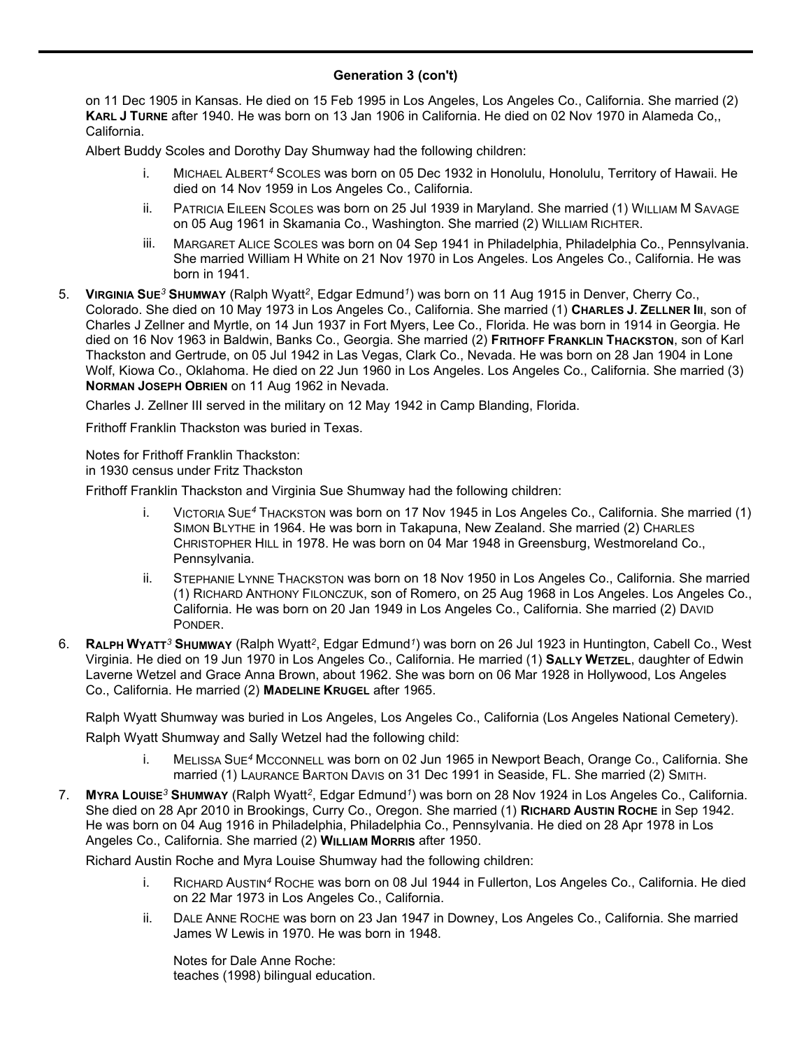#### **Generation 3 (con't)** May 1959 in Alameda Co,, California. She married (1) **ALBERT BUDDY SCOLES**, son of Barnes, in 1930. He was born

on 11 Dec 1905 in Kansas. He died on 15 Feb 1995 in Los Angeles, Los Angeles Co., California. She married (2) **KARL J TURNE** after 1940. He was born on 13 Jan 1906 in California. He died on 02 Nov 1970 in Alameda Co,, California.

Albert Buddy Scoles and Dorothy Day Shumway had the following children:

- i. MICHAEL ALBERT*<sup>4</sup>* SCOLES was born on 05 Dec 1932 in Honolulu, Honolulu, Territory of Hawaii. He died on 14 Nov 1959 in Los Angeles Co., California.
- ii. PATRICIA EILEEN SCOLES was born on 25 Jul 1939 in Maryland. She married (1) WILLIAM M SAVAGE on 05 Aug 1961 in Skamania Co., Washington. She married (2) WILLIAM RICHTER.
- iii. MARGARET ALICE SCOLES was born on 04 Sep 1941 in Philadelphia, Philadelphia Co., Pennsylvania. She married William H White on 21 Nov 1970 in Los Angeles. Los Angeles Co., California. He was born in 1941.
- 5. **VIRGINIA SUE***<sup>3</sup>* **SHUMWAY** (Ralph Wyatt*<sup>2</sup>* , Edgar Edmund*<sup>1</sup>* ) was born on 11 Aug 1915 in Denver, Cherry Co., Colorado. She died on 10 May 1973 in Los Angeles Co., California. She married (1) **CHARLES J. ZELLNER III**, son of Charles J Zellner and Myrtle, on 14 Jun 1937 in Fort Myers, Lee Co., Florida. He was born in 1914 in Georgia. He died on 16 Nov 1963 in Baldwin, Banks Co., Georgia. She married (2) **FRITHOFF FRANKLIN THACKSTON**, son of Karl Thackston and Gertrude, on 05 Jul 1942 in Las Vegas, Clark Co., Nevada. He was born on 28 Jan 1904 in Lone Wolf, Kiowa Co., Oklahoma. He died on 22 Jun 1960 in Los Angeles. Los Angeles Co., California. She married (3) **NORMAN JOSEPH OBRIEN** on 11 Aug 1962 in Nevada.

Charles J. Zellner III served in the military on 12 May 1942 in Camp Blanding, Florida.

Frithoff Franklin Thackston was buried in Texas.

Notes for Frithoff Franklin Thackston: in 1930 census under Fritz Thackston

Frithoff Franklin Thackston and Virginia Sue Shumway had the following children:

- i. VICTORIA SUE*<sup>4</sup>* THACKSTON was born on 17 Nov 1945 in Los Angeles Co., California. She married (1) SIMON BLYTHE in 1964. He was born in Takapuna, New Zealand. She married (2) CHARLES CHRISTOPHER HILL in 1978. He was born on 04 Mar 1948 in Greensburg, Westmoreland Co., Pennsylvania.
- ii. STEPHANIE LYNNE THACKSTON was born on 18 Nov 1950 in Los Angeles Co., California. She married (1) RICHARD ANTHONY FILONCZUK, son of Romero, on 25 Aug 1968 in Los Angeles. Los Angeles Co., California. He was born on 20 Jan 1949 in Los Angeles Co., California. She married (2) DAVID PONDER.
- 6. **RALPH WYATT***<sup>3</sup>* **SHUMWAY** (Ralph Wyatt*<sup>2</sup>* , Edgar Edmund*<sup>1</sup>* ) was born on 26 Jul 1923 in Huntington, Cabell Co., West Virginia. He died on 19 Jun 1970 in Los Angeles Co., California. He married (1) **SALLY WETZEL**, daughter of Edwin Laverne Wetzel and Grace Anna Brown, about 1962. She was born on 06 Mar 1928 in Hollywood, Los Angeles Co., California. He married (2) **MADELINE KRUGEL** after 1965.

Ralph Wyatt Shumway was buried in Los Angeles, Los Angeles Co., California (Los Angeles National Cemetery). Ralph Wyatt Shumway and Sally Wetzel had the following child:

- i. MELISSA SUE*<sup>4</sup>* MCCONNELL was born on 02 Jun 1965 in Newport Beach, Orange Co., California. She married (1) LAURANCE BARTON DAVIS on 31 Dec 1991 in Seaside, FL. She married (2) SMITH.
- 7. **MYRA LOUISE***<sup>3</sup>* **SHUMWAY** (Ralph Wyatt*<sup>2</sup>* , Edgar Edmund*<sup>1</sup>* ) was born on 28 Nov 1924 in Los Angeles Co., California. She died on 28 Apr 2010 in Brookings, Curry Co., Oregon. She married (1) **RICHARD AUSTIN ROCHE** in Sep 1942. He was born on 04 Aug 1916 in Philadelphia, Philadelphia Co., Pennsylvania. He died on 28 Apr 1978 in Los Angeles Co., California. She married (2) **WILLIAM MORRIS** after 1950.

Richard Austin Roche and Myra Louise Shumway had the following children:

- i. RICHARD AUSTIN*<sup>4</sup>* ROCHE was born on 08 Jul 1944 in Fullerton, Los Angeles Co., California. He died on 22 Mar 1973 in Los Angeles Co., California.
- ii. DALE ANNE ROCHE was born on 23 Jan 1947 in Downey, Los Angeles Co., California. She married James W Lewis in 1970. He was born in 1948.

Notes for Dale Anne Roche: teaches (1998) bilingual education.